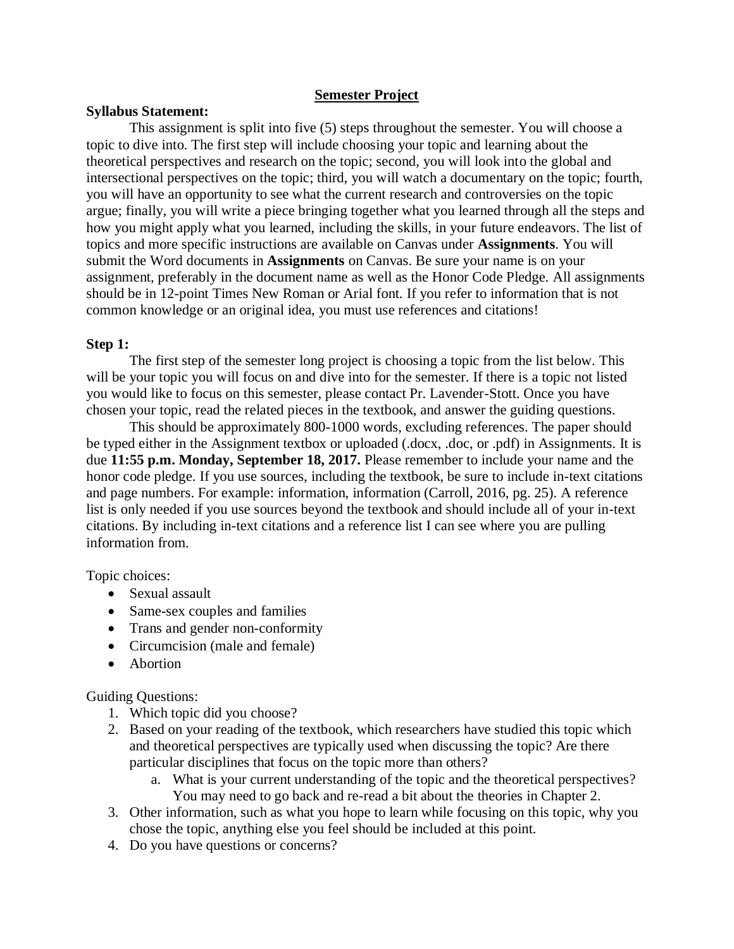### **Semester Project**

#### **Syllabus Statement:**

This assignment is split into five (5) steps throughout the semester. You will choose a topic to dive into. The first step will include choosing your topic and learning about the theoretical perspectives and research on the topic; second, you will look into the global and intersectional perspectives on the topic; third, you will watch a documentary on the topic; fourth, you will have an opportunity to see what the current research and controversies on the topic argue; finally, you will write a piece bringing together what you learned through all the steps and how you might apply what you learned, including the skills, in your future endeavors. The list of topics and more specific instructions are available on Canvas under **Assignments**. You will submit the Word documents in **Assignments** on Canvas. Be sure your name is on your assignment, preferably in the document name as well as the Honor Code Pledge. All assignments should be in 12-point Times New Roman or Arial font. If you refer to information that is not common knowledge or an original idea, you must use references and citations!

#### **Step 1:**

The first step of the semester long project is choosing a topic from the list below. This will be your topic you will focus on and dive into for the semester. If there is a topic not listed you would like to focus on this semester, please contact Pr. Lavender-Stott. Once you have chosen your topic, read the related pieces in the textbook, and answer the guiding questions.

This should be approximately 800-1000 words, excluding references. The paper should be typed either in the Assignment textbox or uploaded (.docx, .doc, or .pdf) in Assignments. It is due **11:55 p.m. Monday, September 18, 2017.** Please remember to include your name and the honor code pledge. If you use sources, including the textbook, be sure to include in-text citations and page numbers. For example: information, information (Carroll, 2016, pg. 25). A reference list is only needed if you use sources beyond the textbook and should include all of your in-text citations. By including in-text citations and a reference list I can see where you are pulling information from.

Topic choices:

- Sexual assault
- Same-sex couples and families
- Trans and gender non-conformity
- Circumcision (male and female)
- Abortion

Guiding Questions:

- 1. Which topic did you choose?
- 2. Based on your reading of the textbook, which researchers have studied this topic which and theoretical perspectives are typically used when discussing the topic? Are there particular disciplines that focus on the topic more than others?
	- a. What is your current understanding of the topic and the theoretical perspectives? You may need to go back and re-read a bit about the theories in Chapter 2.
- 3. Other information, such as what you hope to learn while focusing on this topic, why you chose the topic, anything else you feel should be included at this point.
- 4. Do you have questions or concerns?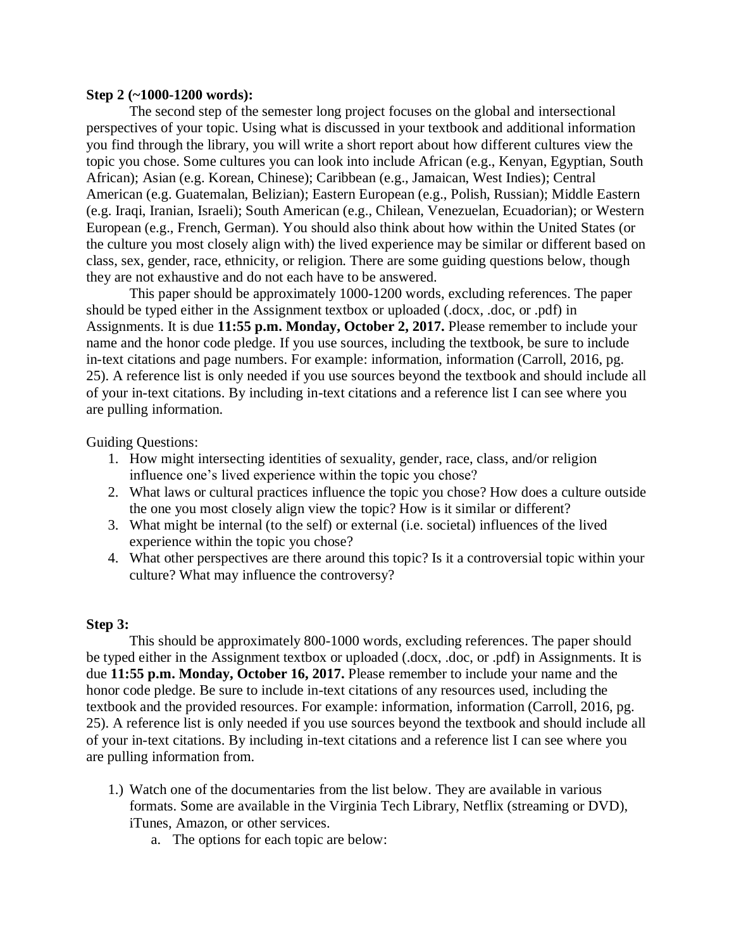#### **Step 2 (~1000-1200 words):**

The second step of the semester long project focuses on the global and intersectional perspectives of your topic. Using what is discussed in your textbook and additional information you find through the library, you will write a short report about how different cultures view the topic you chose. Some cultures you can look into include African (e.g., Kenyan, Egyptian, South African); Asian (e.g. Korean, Chinese); Caribbean (e.g., Jamaican, West Indies); Central American (e.g. Guatemalan, Belizian); Eastern European (e.g., Polish, Russian); Middle Eastern (e.g. Iraqi, Iranian, Israeli); South American (e.g., Chilean, Venezuelan, Ecuadorian); or Western European (e.g., French, German). You should also think about how within the United States (or the culture you most closely align with) the lived experience may be similar or different based on class, sex, gender, race, ethnicity, or religion. There are some guiding questions below, though they are not exhaustive and do not each have to be answered.

This paper should be approximately 1000-1200 words, excluding references. The paper should be typed either in the Assignment textbox or uploaded (.docx, .doc, or .pdf) in Assignments. It is due **11:55 p.m. Monday, October 2, 2017.** Please remember to include your name and the honor code pledge. If you use sources, including the textbook, be sure to include in-text citations and page numbers. For example: information, information (Carroll, 2016, pg. 25). A reference list is only needed if you use sources beyond the textbook and should include all of your in-text citations. By including in-text citations and a reference list I can see where you are pulling information.

Guiding Questions:

- 1. How might intersecting identities of sexuality, gender, race, class, and/or religion influence one's lived experience within the topic you chose?
- 2. What laws or cultural practices influence the topic you chose? How does a culture outside the one you most closely align view the topic? How is it similar or different?
- 3. What might be internal (to the self) or external (i.e. societal) influences of the lived experience within the topic you chose?
- 4. What other perspectives are there around this topic? Is it a controversial topic within your culture? What may influence the controversy?

## **Step 3:**

This should be approximately 800-1000 words, excluding references. The paper should be typed either in the Assignment textbox or uploaded (.docx, .doc, or .pdf) in Assignments. It is due **11:55 p.m. Monday, October 16, 2017.** Please remember to include your name and the honor code pledge. Be sure to include in-text citations of any resources used, including the textbook and the provided resources. For example: information, information (Carroll, 2016, pg. 25). A reference list is only needed if you use sources beyond the textbook and should include all of your in-text citations. By including in-text citations and a reference list I can see where you are pulling information from.

- 1.) Watch one of the documentaries from the list below. They are available in various formats. Some are available in the Virginia Tech Library, Netflix (streaming or DVD), iTunes, Amazon, or other services.
	- a. The options for each topic are below: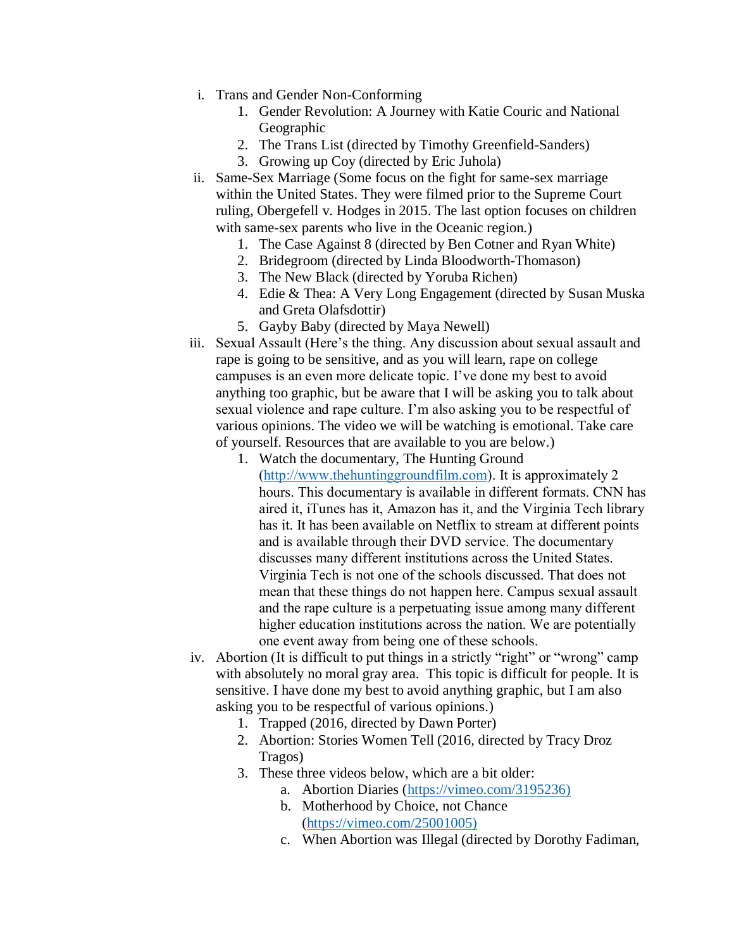- i. Trans and Gender Non-Conforming
	- 1. Gender Revolution: A Journey with Katie Couric and National Geographic
	- 2. The Trans List (directed by Timothy Greenfield-Sanders)
	- 3. Growing up Coy (directed by Eric Juhola)
- ii. Same-Sex Marriage (Some focus on the fight for same-sex marriage within the United States. They were filmed prior to the Supreme Court ruling, Obergefell v. Hodges in 2015. The last option focuses on children with same-sex parents who live in the Oceanic region.)
	- 1. The Case Against 8 (directed by Ben Cotner and Ryan White)
	- 2. Bridegroom (directed by Linda Bloodworth-Thomason)
	- 3. The New Black (directed by Yoruba Richen)
	- 4. Edie & Thea: A Very Long Engagement (directed by Susan Muska and Greta Olafsdottir)
	- 5. Gayby Baby (directed by Maya Newell)
- iii. Sexual Assault (Here's the thing. Any discussion about sexual assault and rape is going to be sensitive, and as you will learn, rape on college campuses is an even more delicate topic. I've done my best to avoid anything too graphic, but be aware that I will be asking you to talk about sexual violence and rape culture. I'm also asking you to be respectful of various opinions. The video we will be watching is emotional. Take care of yourself. Resources that are available to you are below.)
	- 1. Watch the documentary, The Hunting Ground [\(http://www.thehuntinggroundfilm.com\)](http://www.thehuntinggroundfilm.com/). It is approximately 2 hours. This documentary is available in different formats. CNN has aired it, iTunes has it, Amazon has it, and the Virginia Tech library has it. It has been available on Netflix to stream at different points and is available through their DVD service. The documentary discusses many different institutions across the United States. Virginia Tech is not one of the schools discussed. That does not mean that these things do not happen here. Campus sexual assault and the rape culture is a perpetuating issue among many different higher education institutions across the nation. We are potentially one event away from being one of these schools.
- iv. Abortion (It is difficult to put things in a strictly "right" or "wrong" camp with absolutely no moral gray area. This topic is difficult for people. It is sensitive. I have done my best to avoid anything graphic, but I am also asking you to be respectful of various opinions.)
	- 1. Trapped (2016, directed by Dawn Porter)
	- 2. Abortion: Stories Women Tell (2016, directed by Tracy Droz Tragos)
	- 3. These three videos below, which are a bit older:
		- a. Abortion Diaries [\(https://vimeo.com/3195236\)](https://vimeo.com/3195236)
		- b. Motherhood by Choice, not Chance [\(https://vimeo.com/25001005\)](https://vimeo.com/25001005)
		- c. When Abortion was Illegal (directed by Dorothy Fadiman,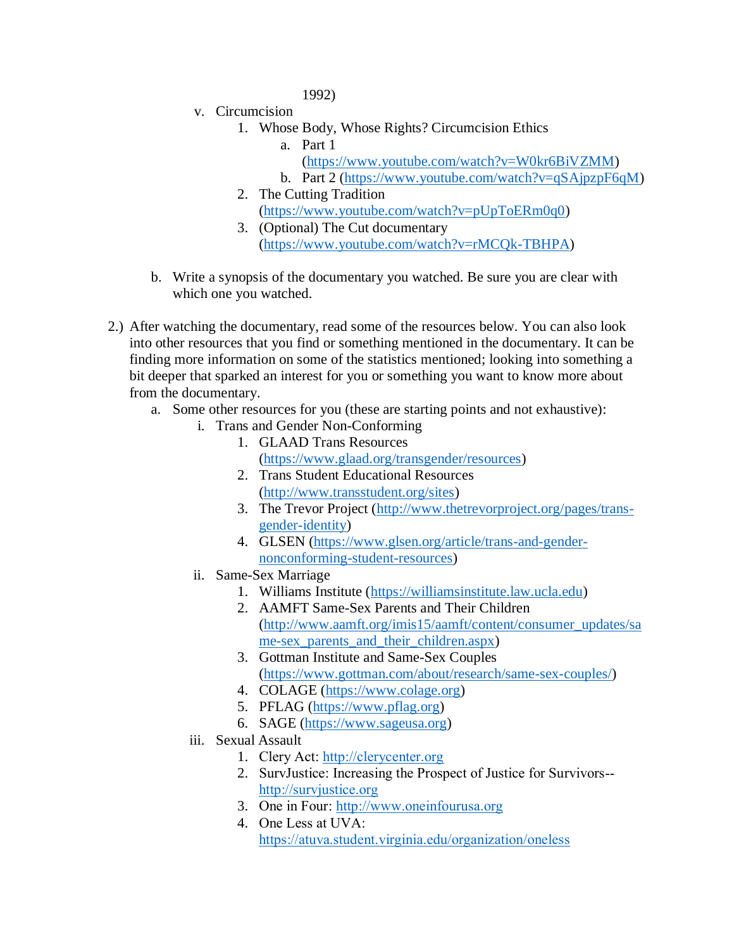1992)

- v. Circumcision
	- 1. Whose Body, Whose Rights? Circumcision Ethics
		- a. Part 1
			- [\(https://www.youtube.com/watch?v=W0kr6BiVZMM\)](https://www.youtube.com/watch?v=W0kr6BiVZMM)
		- b. Part 2 [\(https://www.youtube.com/watch?v=qSAjpzpF6qM\)](https://www.youtube.com/watch?v=qSAjpzpF6qM)
	- 2. The Cutting Tradition [\(https://www.youtube.com/watch?v=pUpToERm0q0\)](https://www.youtube.com/watch?v=pUpToERm0q0)
	- 3. (Optional) The Cut documentary [\(https://www.youtube.com/watch?v=rMCQk-TBHPA\)](https://www.youtube.com/watch?v=rMCQk-TBHPA)
- b. Write a synopsis of the documentary you watched. Be sure you are clear with which one you watched.
- 2.) After watching the documentary, read some of the resources below. You can also look into other resources that you find or something mentioned in the documentary. It can be finding more information on some of the statistics mentioned; looking into something a bit deeper that sparked an interest for you or something you want to know more about from the documentary.
	- a. Some other resources for you (these are starting points and not exhaustive):
		- i. Trans and Gender Non-Conforming
			- 1. GLAAD Trans Resources [\(https://www.glaad.org/transgender/resources\)](https://www.glaad.org/transgender/resources)
			- 2. Trans Student Educational Resources [\(http://www.transstudent.org/sites\)](http://www.transstudent.org/sites)
			- 3. The Trevor Project [\(http://www.thetrevorproject.org/pages/trans](http://www.thetrevorproject.org/pages/trans-gender-identity)[gender-identity\)](http://www.thetrevorproject.org/pages/trans-gender-identity)
			- 4. GLSEN [\(https://www.glsen.org/article/trans-and-gender](https://www.glsen.org/article/trans-and-gender-nonconforming-student-resources)[nonconforming-student-resources\)](https://www.glsen.org/article/trans-and-gender-nonconforming-student-resources)
		- ii. Same-Sex Marriage
			- 1. Williams Institute [\(https://williamsinstitute.law.ucla.edu\)](https://williamsinstitute.law.ucla.edu/)
			- 2. AAMFT Same-Sex Parents and Their Children [\(http://www.aamft.org/imis15/aamft/content/consumer\\_updates/sa](http://www.aamft.org/imis15/aamft/content/consumer_updates/same-sex_parents_and_their_children.aspx) me-sex parents and their children.aspx)
			- 3. Gottman Institute and Same-Sex Couples [\(https://www.gottman.com/about/research/same-sex-couples/\)](https://www.gottman.com/about/research/same-sex-couples/)
			- 4. COLAGE [\(https://www.colage.org\)](https://www.colage.org/)
			- 5. PFLAG [\(https://www.pflag.org\)](https://www.pflag.org/)
			- 6. SAGE [\(https://www.sageusa.org\)](https://www.sageusa.org/)
		- iii. Sexual Assault
			- 1. Clery Act: [http://clerycenter.org](http://clerycenter.org/)
			- 2. SurvJustice: Increasing the Prospect of Justice for Survivors- [http://survjustice.org](http://survjustice.org/)
			- 3. One in Four: [http://www.oneinfourusa.org](http://www.oneinfourusa.org/)
			- 4. One Less at UVA: <https://atuva.student.virginia.edu/organization/oneless>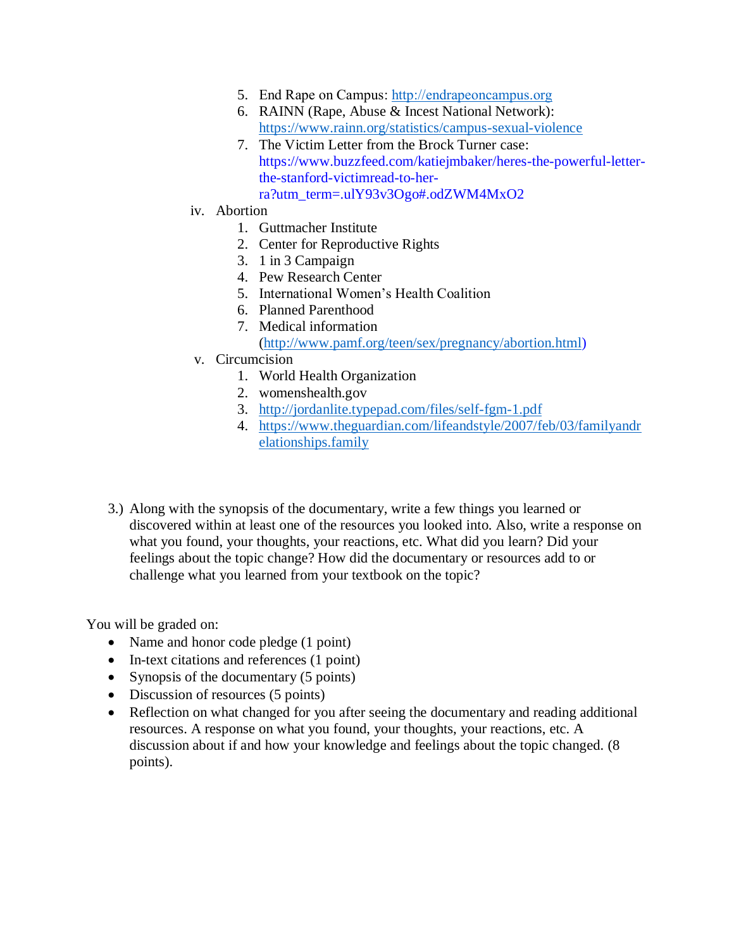- 5. End Rape on Campus: [http://endrapeoncampus.org](http://endrapeoncampus.org/)
- 6. RAINN (Rape, Abuse & Incest National Network): <https://www.rainn.org/statistics/campus-sexual-violence>
- 7. The Victim Letter from the Brock Turner case: https://www.buzzfeed.com/katiejmbaker/heres-the-powerful-letterthe-stanford-victimread-to-herra?utm\_term=.ulY93v3Ogo#.odZWM4MxO2
- iv. Abortion
	- 1. Guttmacher Institute
	- 2. Center for Reproductive Rights
	- 3. 1 in 3 Campaign
	- 4. Pew Research Center
	- 5. International Women's Health Coalition
	- 6. Planned Parenthood
	- 7. Medical information [\(http://www.pamf.org/teen/sex/pregnancy/abortion.html\)](http://www.pamf.org/teen/sex/pregnancy/abortion.html)
- v. Circumcision
	- 1. World Health Organization
	- 2. womenshealth.gov
	- 3. <http://jordanlite.typepad.com/files/self-fgm-1.pdf>
	- 4. [https://www.theguardian.com/lifeandstyle/2007/feb/03/familyandr](https://www.theguardian.com/lifeandstyle/2007/feb/03/familyandrelationships.family) [elationships.family](https://www.theguardian.com/lifeandstyle/2007/feb/03/familyandrelationships.family)
- 3.) Along with the synopsis of the documentary, write a few things you learned or discovered within at least one of the resources you looked into. Also, write a response on what you found, your thoughts, your reactions, etc. What did you learn? Did your feelings about the topic change? How did the documentary or resources add to or challenge what you learned from your textbook on the topic?

You will be graded on:

- Name and honor code pledge (1 point)
- In-text citations and references (1 point)
- Synopsis of the documentary (5 points)
- Discussion of resources (5 points)
- Reflection on what changed for you after seeing the documentary and reading additional resources. A response on what you found, your thoughts, your reactions, etc. A discussion about if and how your knowledge and feelings about the topic changed. (8 points).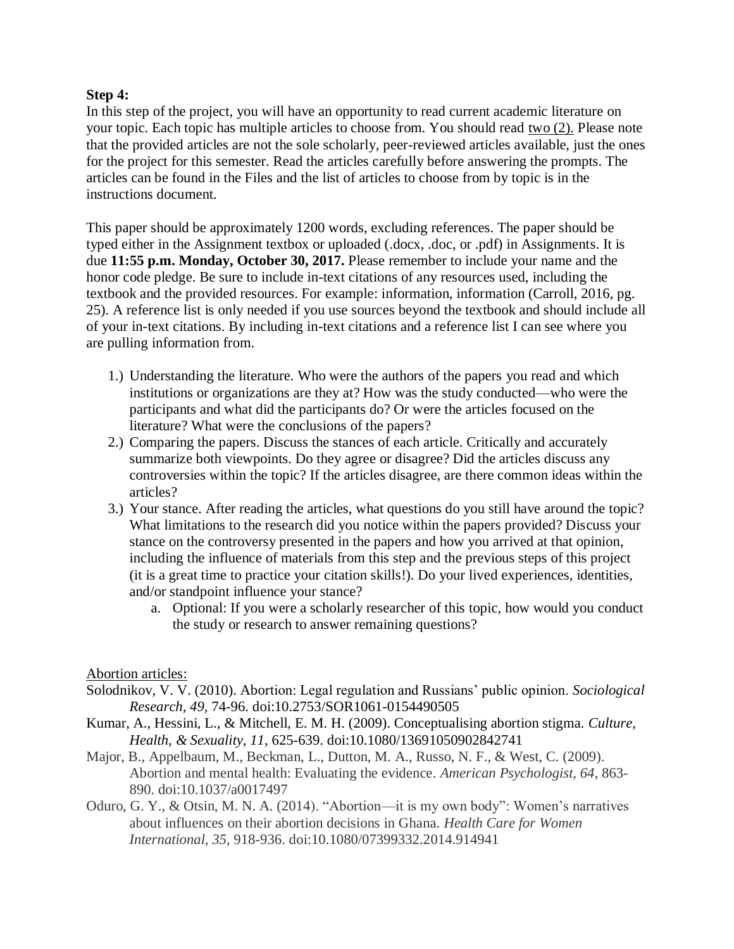# **Step 4:**

In this step of the project, you will have an opportunity to read current academic literature on your topic. Each topic has multiple articles to choose from. You should read two (2). Please note that the provided articles are not the sole scholarly, peer-reviewed articles available, just the ones for the project for this semester. Read the articles carefully before answering the prompts. The articles can be found in the Files and the list of articles to choose from by topic is in the instructions document.

This paper should be approximately 1200 words, excluding references. The paper should be typed either in the Assignment textbox or uploaded (.docx, .doc, or .pdf) in Assignments. It is due **11:55 p.m. Monday, October 30, 2017.** Please remember to include your name and the honor code pledge. Be sure to include in-text citations of any resources used, including the textbook and the provided resources. For example: information, information (Carroll, 2016, pg. 25). A reference list is only needed if you use sources beyond the textbook and should include all of your in-text citations. By including in-text citations and a reference list I can see where you are pulling information from.

- 1.) Understanding the literature. Who were the authors of the papers you read and which institutions or organizations are they at? How was the study conducted—who were the participants and what did the participants do? Or were the articles focused on the literature? What were the conclusions of the papers?
- 2.) Comparing the papers. Discuss the stances of each article. Critically and accurately summarize both viewpoints. Do they agree or disagree? Did the articles discuss any controversies within the topic? If the articles disagree, are there common ideas within the articles?
- 3.) Your stance. After reading the articles, what questions do you still have around the topic? What limitations to the research did you notice within the papers provided? Discuss your stance on the controversy presented in the papers and how you arrived at that opinion, including the influence of materials from this step and the previous steps of this project (it is a great time to practice your citation skills!). Do your lived experiences, identities, and/or standpoint influence your stance?
	- a. Optional: If you were a scholarly researcher of this topic, how would you conduct the study or research to answer remaining questions?

## Abortion articles:

- Solodnikov, V. V. (2010). Abortion: Legal regulation and Russians' public opinion. *Sociological Research, 49,* 74-96. doi:10.2753/SOR1061-0154490505
- Kumar, A., Hessini, L., & Mitchell, E. M. H. (2009). Conceptualising abortion stigma. *Culture, Health, & Sexuality, 11,* 625-639. doi:10.1080/13691050902842741
- Major, B., Appelbaum, M., Beckman, L., Dutton, M. A., Russo, N. F., & West, C. (2009). Abortion and mental health: Evaluating the evidence. *American Psychologist, 64*, 863- 890. doi:10.1037/a0017497
- Oduro, G. Y., & Otsin, M. N. A. (2014). "Abortion—it is my own body": Women's narratives about influences on their abortion decisions in Ghana. *Health Care for Women International, 35,* 918-936. doi:10.1080/07399332.2014.914941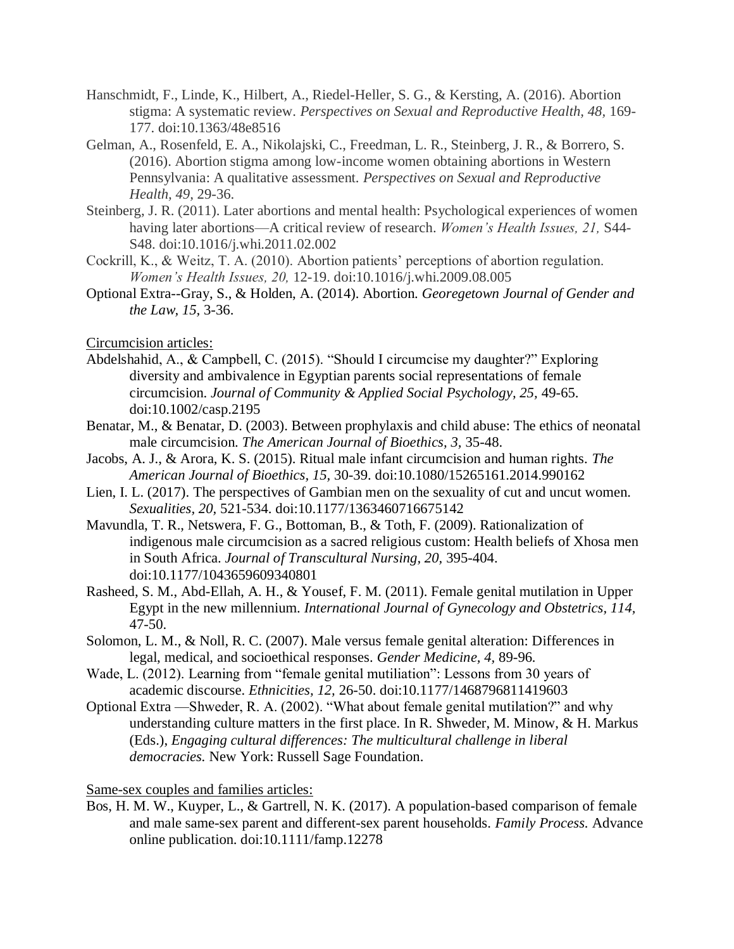- Hanschmidt, F., Linde, K., Hilbert, A., Riedel-Heller, S. G., & Kersting, A. (2016). Abortion stigma: A systematic review. *Perspectives on Sexual and Reproductive Health, 48,* 169- 177. doi:10.1363/48e8516
- Gelman, A., Rosenfeld, E. A., Nikolajski, C., Freedman, L. R., Steinberg, J. R., & Borrero, S. (2016). Abortion stigma among low-income women obtaining abortions in Western Pennsylvania: A qualitative assessment. *Perspectives on Sexual and Reproductive Health, 49,* 29-36.
- Steinberg, J. R. (2011). Later abortions and mental health: Psychological experiences of women having later abortions—A critical review of research. *Women's Health Issues, 21,* S44- S48. doi:10.1016/j.whi.2011.02.002
- Cockrill, K., & Weitz, T. A. (2010). Abortion patients' perceptions of abortion regulation. *Women's Health Issues, 20,* 12-19. doi:10.1016/j.whi.2009.08.005
- Optional Extra--Gray, S., & Holden, A. (2014). Abortion. *Georegetown Journal of Gender and the Law, 15,* 3-36.

Circumcision articles:

- Abdelshahid, A., & Campbell, C. (2015). "Should I circumcise my daughter?" Exploring diversity and ambivalence in Egyptian parents social representations of female circumcision. *Journal of Community & Applied Social Psychology, 25,* 49-65. doi:10.1002/casp.2195
- Benatar, M., & Benatar, D. (2003). Between prophylaxis and child abuse: The ethics of neonatal male circumcision. *The American Journal of Bioethics, 3,* 35-48.
- Jacobs, A. J., & Arora, K. S. (2015). Ritual male infant circumcision and human rights. *The American Journal of Bioethics, 15,* 30-39. doi:10.1080/15265161.2014.990162
- Lien, I. L. (2017). The perspectives of Gambian men on the sexuality of cut and uncut women. *Sexualities, 20,* 521-534. doi:10.1177/1363460716675142
- Mavundla, T. R., Netswera, F. G., Bottoman, B., & Toth, F. (2009). Rationalization of indigenous male circumcision as a sacred religious custom: Health beliefs of Xhosa men in South Africa. *Journal of Transcultural Nursing, 20,* 395-404. doi:10.1177/1043659609340801
- Rasheed, S. M., Abd-Ellah, A. H., & Yousef, F. M. (2011). Female genital mutilation in Upper Egypt in the new millennium. *International Journal of Gynecology and Obstetrics, 114,*  47-50.
- Solomon, L. M., & Noll, R. C. (2007). Male versus female genital alteration: Differences in legal, medical, and socioethical responses. *Gender Medicine, 4,* 89-96*.*
- Wade, L. (2012). Learning from "female genital mutiliation": Lessons from 30 years of academic discourse. *Ethnicities, 12,* 26-50. doi:10.1177/1468796811419603
- Optional Extra —Shweder, R. A. (2002). "What about female genital mutilation?" and why understanding culture matters in the first place. In R. Shweder, M. Minow, & H. Markus (Eds.), *Engaging cultural differences: The multicultural challenge in liberal democracies.* New York: Russell Sage Foundation.

Same-sex couples and families articles:

Bos, H. M. W., Kuyper, L., & Gartrell, N. K. (2017). A population-based comparison of female and male same-sex parent and different-sex parent households. *Family Process.* Advance online publication. doi:10.1111/famp.12278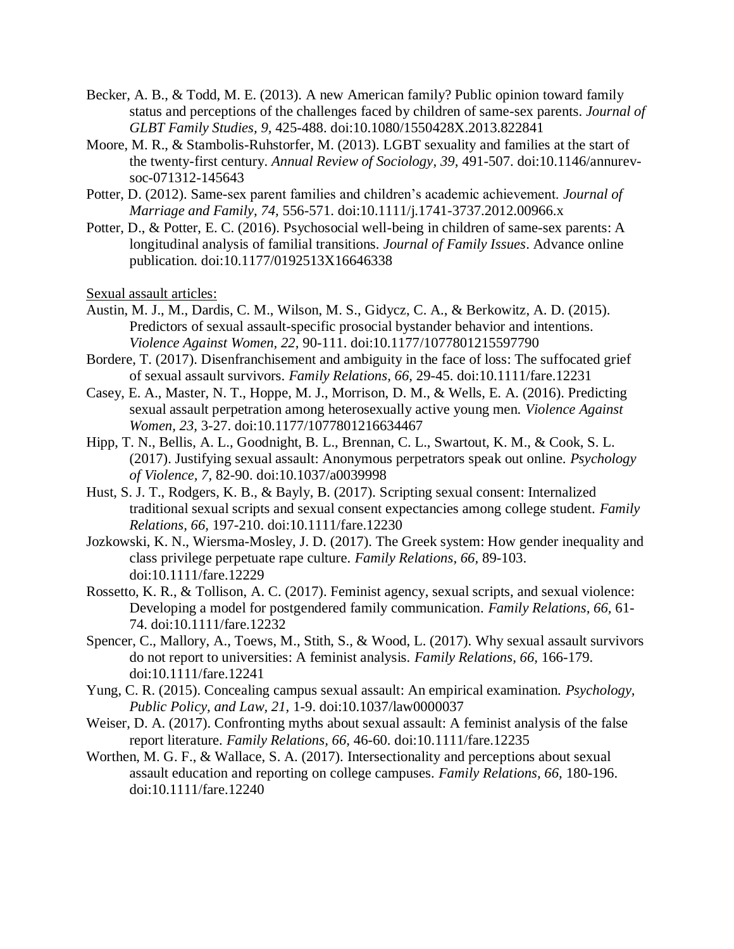- Becker, A. B., & Todd, M. E. (2013). A new American family? Public opinion toward family status and perceptions of the challenges faced by children of same-sex parents. *Journal of GLBT Family Studies, 9,* 425-488. doi:10.1080/1550428X.2013.822841
- Moore, M. R., & Stambolis-Ruhstorfer, M. (2013). LGBT sexuality and families at the start of the twenty-first century. *Annual Review of Sociology, 39,* 491-507. doi:10.1146/annurevsoc-071312-145643
- Potter, D. (2012). Same-sex parent families and children's academic achievement. *Journal of Marriage and Family, 74,* 556-571. doi:10.1111/j.1741-3737.2012.00966.x
- Potter, D., & Potter, E. C. (2016). Psychosocial well-being in children of same-sex parents: A longitudinal analysis of familial transitions. *Journal of Family Issues*. Advance online publication. doi:10.1177/0192513X16646338

Sexual assault articles:

- Austin, M. J., M., Dardis, C. M., Wilson, M. S., Gidycz, C. A., & Berkowitz, A. D. (2015). Predictors of sexual assault-specific prosocial bystander behavior and intentions. *Violence Against Women, 22,* 90-111. doi:10.1177/1077801215597790
- Bordere, T. (2017). Disenfranchisement and ambiguity in the face of loss: The suffocated grief of sexual assault survivors. *Family Relations, 66,* 29-45. doi:10.1111/fare.12231
- Casey, E. A., Master, N. T., Hoppe, M. J., Morrison, D. M., & Wells, E. A. (2016). Predicting sexual assault perpetration among heterosexually active young men. *Violence Against Women, 23,* 3-27. doi:10.1177/1077801216634467
- Hipp, T. N., Bellis, A. L., Goodnight, B. L., Brennan, C. L., Swartout, K. M., & Cook, S. L. (2017). Justifying sexual assault: Anonymous perpetrators speak out online. *Psychology of Violence, 7,* 82-90. doi:10.1037/a0039998
- Hust, S. J. T., Rodgers, K. B., & Bayly, B. (2017). Scripting sexual consent: Internalized traditional sexual scripts and sexual consent expectancies among college student. *Family Relations, 66,* 197-210. doi:10.1111/fare.12230
- Jozkowski, K. N., Wiersma-Mosley, J. D. (2017). The Greek system: How gender inequality and class privilege perpetuate rape culture. *Family Relations, 66,* 89-103. doi:10.1111/fare.12229
- Rossetto, K. R., & Tollison, A. C. (2017). Feminist agency, sexual scripts, and sexual violence: Developing a model for postgendered family communication. *Family Relations, 66,* 61- 74. doi:10.1111/fare.12232
- Spencer, C., Mallory, A., Toews, M., Stith, S., & Wood, L. (2017). Why sexual assault survivors do not report to universities: A feminist analysis. *Family Relations, 66,* 166-179. doi:10.1111/fare.12241
- Yung, C. R. (2015). Concealing campus sexual assault: An empirical examination. *Psychology, Public Policy, and Law, 21,* 1-9. doi:10.1037/law0000037
- Weiser, D. A. (2017). Confronting myths about sexual assault: A feminist analysis of the false report literature. *Family Relations, 66,* 46-60. doi:10.1111/fare.12235
- Worthen, M. G. F., & Wallace, S. A. (2017). Intersectionality and perceptions about sexual assault education and reporting on college campuses. *Family Relations, 66,* 180-196. doi:10.1111/fare.12240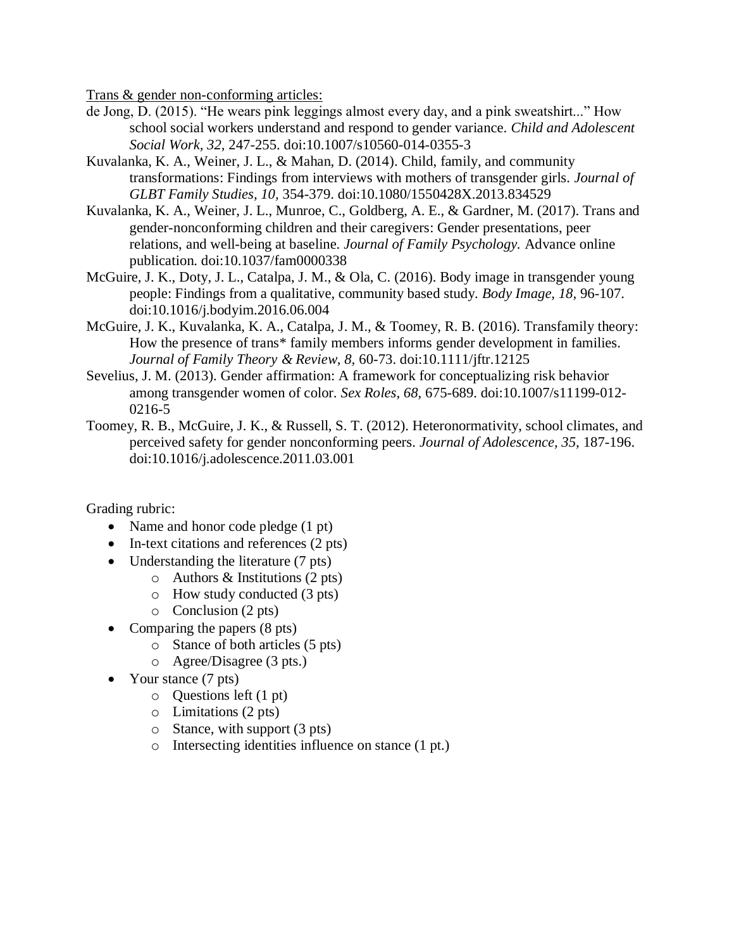Trans & gender non-conforming articles:

- de Jong, D. (2015). "He wears pink leggings almost every day, and a pink sweatshirt..." How school social workers understand and respond to gender variance. *Child and Adolescent Social Work, 32,* 247-255. doi:10.1007/s10560-014-0355-3
- Kuvalanka, K. A., Weiner, J. L., & Mahan, D. (2014). Child, family, and community transformations: Findings from interviews with mothers of transgender girls. *Journal of GLBT Family Studies, 10,* 354-379. doi:10.1080/1550428X.2013.834529
- Kuvalanka, K. A., Weiner, J. L., Munroe, C., Goldberg, A. E., & Gardner, M. (2017). Trans and gender-nonconforming children and their caregivers: Gender presentations, peer relations, and well-being at baseline. *Journal of Family Psychology.* Advance online publication. doi:10.1037/fam0000338
- McGuire, J. K., Doty, J. L., Catalpa, J. M., & Ola, C. (2016). Body image in transgender young people: Findings from a qualitative, community based study. *Body Image, 18,* 96-107. doi:10.1016/j.bodyim.2016.06.004
- McGuire, J. K., Kuvalanka, K. A., Catalpa, J. M., & Toomey, R. B. (2016). Transfamily theory: How the presence of trans\* family members informs gender development in families. *Journal of Family Theory & Review, 8,* 60-73. doi:10.1111/jftr.12125
- Sevelius, J. M. (2013). Gender affirmation: A framework for conceptualizing risk behavior among transgender women of color. *Sex Roles, 68,* 675-689. doi:10.1007/s11199-012- 0216-5
- Toomey, R. B., McGuire, J. K., & Russell, S. T. (2012). Heteronormativity, school climates, and perceived safety for gender nonconforming peers. *Journal of Adolescence, 35,* 187-196. doi:10.1016/j.adolescence.2011.03.001

Grading rubric:

- Name and honor code pledge (1 pt)
- In-text citations and references (2 pts)
- Understanding the literature (7 pts)
	- o Authors & Institutions (2 pts)
	- o How study conducted (3 pts)
	- o Conclusion (2 pts)
- Comparing the papers (8 pts)
	- o Stance of both articles (5 pts)
	- o Agree/Disagree (3 pts.)
- Your stance (7 pts)
	- o Questions left (1 pt)
	- o Limitations (2 pts)
	- $\circ$  Stance, with support (3 pts)
	- o Intersecting identities influence on stance (1 pt.)